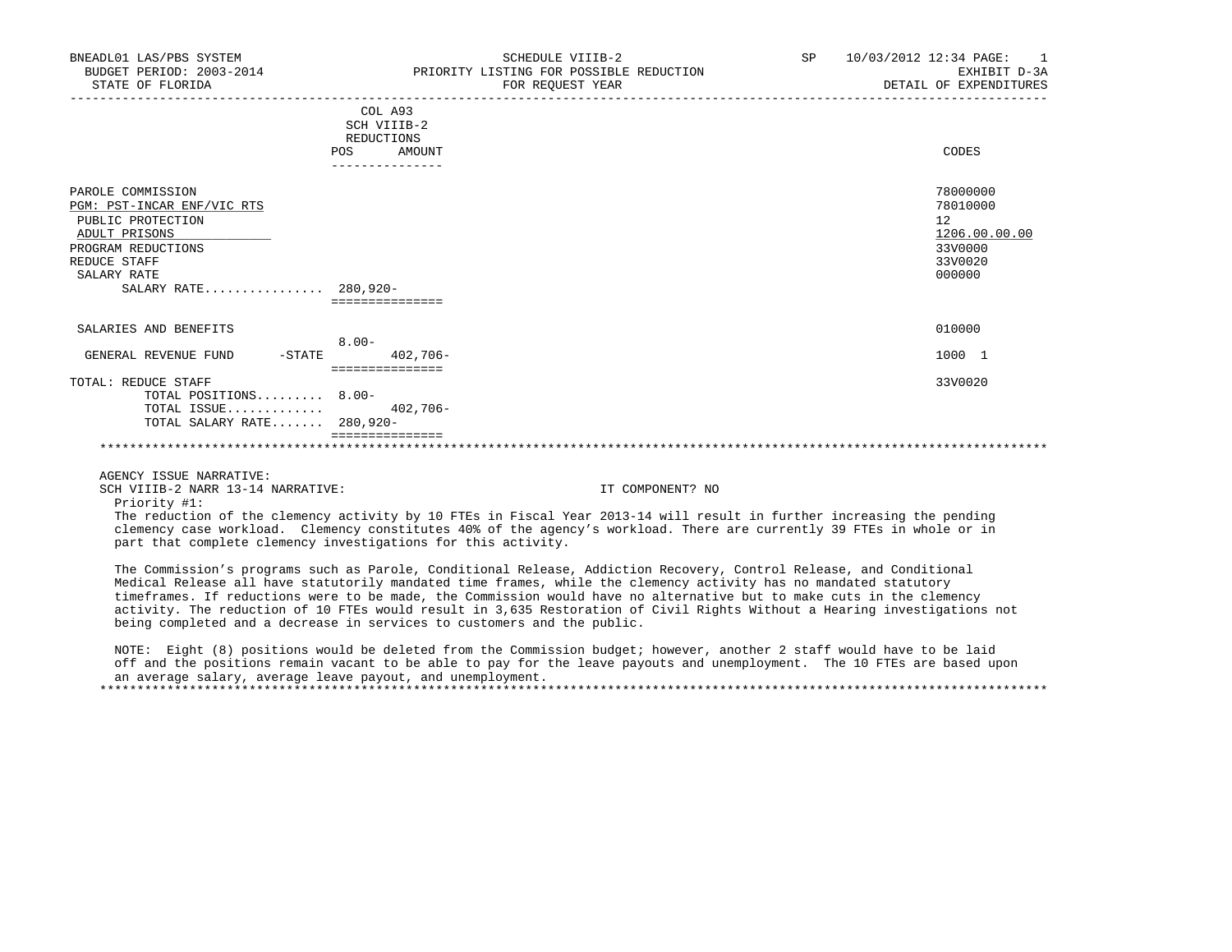| SCHEDULE VIIIB-2<br>FOR REQUEST YEAR           | SP                                                                                                                                                                                        | 10/03/2012 12:34 PAGE:<br>$\overline{1}$<br>EXHIBIT D-3A<br>DETAIL OF EXPENDITURES |
|------------------------------------------------|-------------------------------------------------------------------------------------------------------------------------------------------------------------------------------------------|------------------------------------------------------------------------------------|
| COL A93<br>SCH VIIIB-2<br>REDUCTIONS<br>AMOUNT |                                                                                                                                                                                           | CODES                                                                              |
|                                                |                                                                                                                                                                                           |                                                                                    |
|                                                |                                                                                                                                                                                           | 78000000<br>78010000<br>12<br>1206.00.00.00<br>33V0000<br>33V0020<br>000000        |
|                                                |                                                                                                                                                                                           | 010000                                                                             |
|                                                |                                                                                                                                                                                           |                                                                                    |
|                                                |                                                                                                                                                                                           | 1000 1                                                                             |
| $402,706-$                                     |                                                                                                                                                                                           | 33V0020                                                                            |
|                                                | POS<br>---------------<br>SALARY RATE 280,920-<br>===============<br>$8.00 -$<br>$402,706 -$<br>===============<br>TOTAL POSITIONS 8.00-<br>TOTAL SALARY RATE 280,920-<br>=============== | PRIORITY LISTING FOR POSSIBLE REDUCTION                                            |

## \*\*\*\*\*\*\*\*\*\*\*\*\*\*\*\*\*\*\*\*\*\*\*\*\*\*\*\*\*\*\*\*\*\*\*\*\*\*\*\*\*\*\*\*\*\*\*\*\*\*\*\*\*\*\*\*\*\*\*\*\*\*\*\*\*\*\*\*\*\*\*\*\*\*\*\*\*\*\*\*\*\*\*\*\*\*\*\*\*\*\*\*\*\*\*\*\*\*\*\*\*\*\*\*\*\*\*\*\*\*\*\*\*\*\*\*\*\*\*\*\*\*\*\*\*\*\*

AGENCY ISSUE NARRATIVE:

SCH VIIIB-2 NARR 13-14 NARRATIVE: IT COMPONENT? NO

Priority #1:

 The reduction of the clemency activity by 10 FTEs in Fiscal Year 2013-14 will result in further increasing the pending clemency case workload. Clemency constitutes 40% of the agency's workload. There are currently 39 FTEs in whole or in part that complete clemency investigations for this activity.

 The Commission's programs such as Parole, Conditional Release, Addiction Recovery, Control Release, and Conditional Medical Release all have statutorily mandated time frames, while the clemency activity has no mandated statutory timeframes. If reductions were to be made, the Commission would have no alternative but to make cuts in the clemency activity. The reduction of 10 FTEs would result in 3,635 Restoration of Civil Rights Without a Hearing investigations not being completed and a decrease in services to customers and the public.

 NOTE: Eight (8) positions would be deleted from the Commission budget; however, another 2 staff would have to be laid off and the positions remain vacant to be able to pay for the leave payouts and unemployment. The 10 FTEs are based upon an average salary, average leave payout, and unemployment. \*\*\*\*\*\*\*\*\*\*\*\*\*\*\*\*\*\*\*\*\*\*\*\*\*\*\*\*\*\*\*\*\*\*\*\*\*\*\*\*\*\*\*\*\*\*\*\*\*\*\*\*\*\*\*\*\*\*\*\*\*\*\*\*\*\*\*\*\*\*\*\*\*\*\*\*\*\*\*\*\*\*\*\*\*\*\*\*\*\*\*\*\*\*\*\*\*\*\*\*\*\*\*\*\*\*\*\*\*\*\*\*\*\*\*\*\*\*\*\*\*\*\*\*\*\*\*